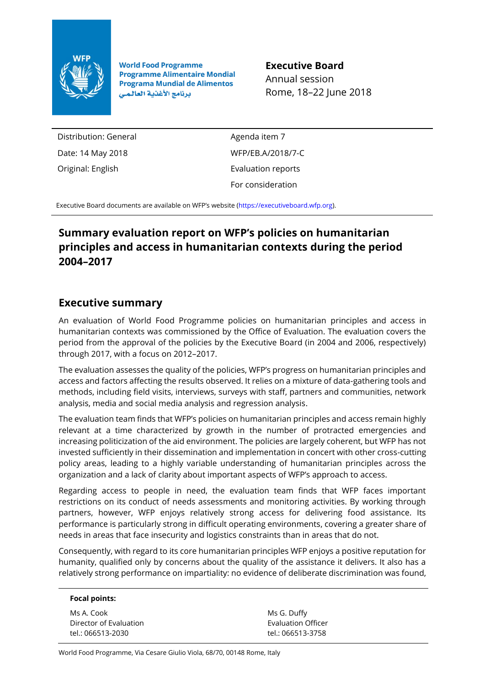

**World Food Programme Programme Alimentaire Mondial Programa Mundial de Alimentos** برنامج الأغذية العالمي

**Executive Board** Annual session Rome, 18–22 June 2018

Distribution: General Date: 14 May 2018 Original: English

Agenda item 7 WFP/EB.A/2018/7-C Evaluation reports For consideration

Executive Board documents are available on WFP's website [\(https://executiveboard.wfp.org\).](https://executiveboard.wfp.org/)

# **Summary evaluation report on WFP's policies on humanitarian principles and access in humanitarian contexts during the period 2004–2017**

## **Executive summary**

An evaluation of World Food Programme policies on humanitarian principles and access in humanitarian contexts was commissioned by the Office of Evaluation. The evaluation covers the period from the approval of the policies by the Executive Board (in 2004 and 2006, respectively) through 2017, with a focus on 2012–2017.

The evaluation assesses the quality of the policies, WFP's progress on humanitarian principles and access and factors affecting the results observed. It relies on a mixture of data-gathering tools and methods, including field visits, interviews, surveys with staff, partners and communities, network analysis, media and social media analysis and regression analysis.

The evaluation team finds that WFP's policies on humanitarian principles and access remain highly relevant at a time characterized by growth in the number of protracted emergencies and increasing politicization of the aid environment. The policies are largely coherent, but WFP has not invested sufficiently in their dissemination and implementation in concert with other cross-cutting policy areas, leading to a highly variable understanding of humanitarian principles across the organization and a lack of clarity about important aspects of WFP's approach to access.

Regarding access to people in need, the evaluation team finds that WFP faces important restrictions on its conduct of needs assessments and monitoring activities. By working through partners, however, WFP enjoys relatively strong access for delivering food assistance. Its performance is particularly strong in difficult operating environments, covering a greater share of needs in areas that face insecurity and logistics constraints than in areas that do not.

Consequently, with regard to its core humanitarian principles WFP enjoys a positive reputation for humanity, qualified only by concerns about the quality of the assistance it delivers. It also has a relatively strong performance on impartiality: no evidence of deliberate discrimination was found,

#### **Focal points:**

| Ms A. Cook             |
|------------------------|
| Director of Evaluation |
| tel.: 066513-2030      |

Ms G. Duffy Evaluation Officer tel.: 066513-3758

World Food Programme, Via Cesare Giulio Viola, 68/70, 00148 Rome, Italy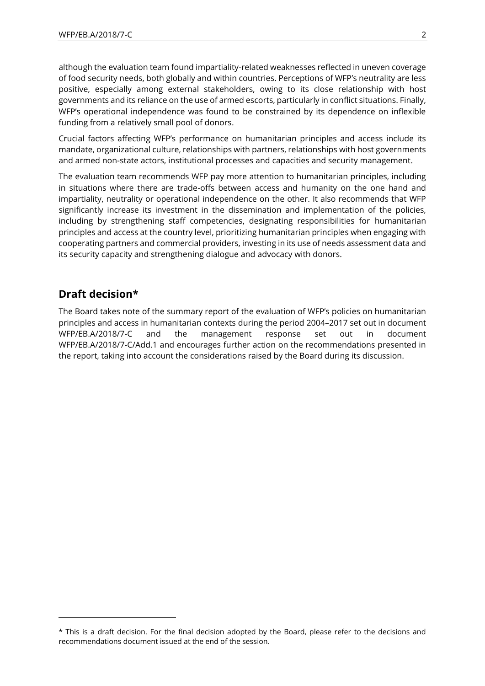although the evaluation team found impartiality-related weaknesses reflected in uneven coverage of food security needs, both globally and within countries. Perceptions of WFP's neutrality are less positive, especially among external stakeholders, owing to its close relationship with host governments and its reliance on the use of armed escorts, particularly in conflict situations. Finally, WFP's operational independence was found to be constrained by its dependence on inflexible funding from a relatively small pool of donors.

Crucial factors affecting WFP's performance on humanitarian principles and access include its mandate, organizational culture, relationships with partners, relationships with host governments and armed non-state actors, institutional processes and capacities and security management.

The evaluation team recommends WFP pay more attention to humanitarian principles, including in situations where there are trade-offs between access and humanity on the one hand and impartiality, neutrality or operational independence on the other. It also recommends that WFP significantly increase its investment in the dissemination and implementation of the policies, including by strengthening staff competencies, designating responsibilities for humanitarian principles and access at the country level, prioritizing humanitarian principles when engaging with cooperating partners and commercial providers, investing in its use of needs assessment data and its security capacity and strengthening dialogue and advocacy with donors.

### **Draft decision\***

1

The Board takes note of the summary report of the evaluation of WFP's policies on humanitarian principles and access in humanitarian contexts during the period 2004–2017 set out in document WFP/EB.A/2018/7-C and the management response set out in document WFP/EB.A/2018/7-C/Add.1 and encourages further action on the recommendations presented in the report, taking into account the considerations raised by the Board during its discussion.

<sup>\*</sup> This is a draft decision. For the final decision adopted by the Board, please refer to the decisions and recommendations document issued at the end of the session.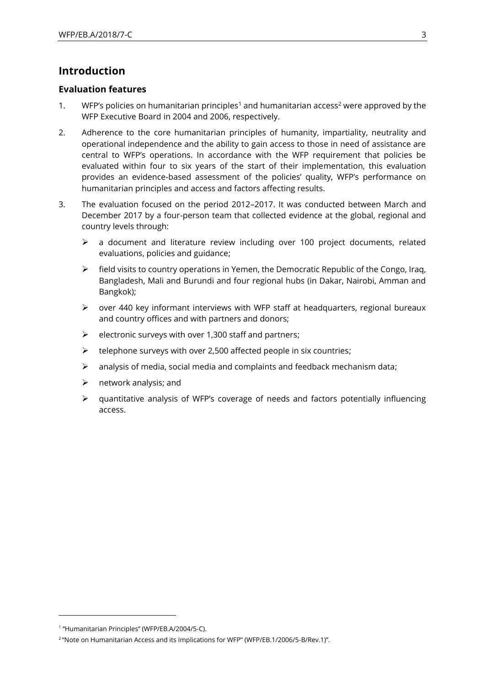## **Introduction**

### **Evaluation features**

- 1. WFP's policies on [humanitarian principles](http://one.wfp.org/eb/docs/2004/wfp030144~2.pdf)<sup>1</sup> and [humanitarian access](https://www.wfp.org/content/note-humanitarian-access-and-its-implications-wfp)<sup>2</sup> were approved by the WFP Executive Board in 2004 and 2006, respectively.
- 2. Adherence to the core humanitarian principles of humanity, impartiality, neutrality and operational independence and the ability to gain access to those in need of assistance are central to WFP's operations. In accordance with the WFP requirement that policies be evaluated within four to six years of the start of their implementation, this evaluation provides an evidence-based assessment of the policies' quality, WFP's performance on humanitarian principles and access and factors affecting results.
- 3. The evaluation focused on the period 2012–2017. It was conducted between March and December 2017 by a four-person team that collected evidence at the global, regional and country levels through:
	- $\triangleright$  a document and literature review including over 100 project documents, related evaluations, policies and guidance;
	- $\triangleright$  field visits to country operations in Yemen, the Democratic Republic of the Congo, Iraq, Bangladesh, Mali and Burundi and four regional hubs (in Dakar, Nairobi, Amman and Bangkok);
	- $\triangleright$  over 440 key informant interviews with WFP staff at headquarters, regional bureaux and country offices and with partners and donors;
	- $\triangleright$  electronic surveys with over 1,300 staff and partners;
	- $\triangleright$  telephone surveys with over 2,500 affected people in six countries;
	- $\triangleright$  analysis of media, social media and complaints and feedback mechanism data;
	- $\triangleright$  network analysis; and
	- ➢ quantitative analysis of WFP's coverage of needs and factors potentially influencing access.

<sup>1</sup> "Humanitarian Principles" (WFP/EB.A/2004/5-C).

<sup>2</sup> "Note on Humanitarian Access and its Implications for WFP" (WFP/EB.1/2006/5-B/Rev.1)".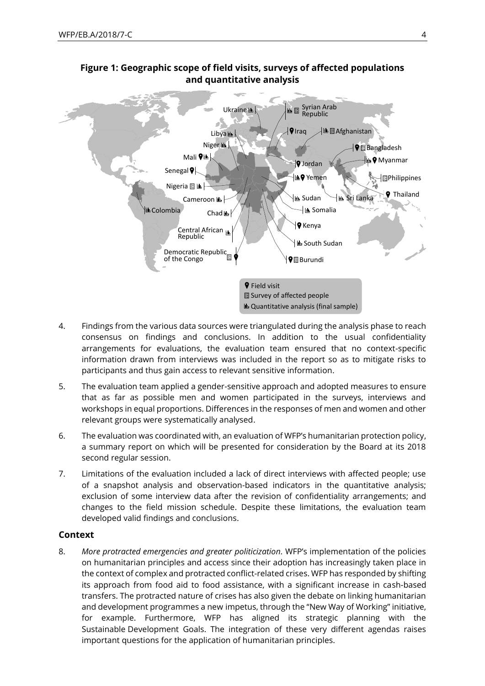

### **Figure 1: Geographic scope of field visits, surveys of affected populations and quantitative analysis**

- 4. Findings from the various data sources were triangulated during the analysis phase to reach consensus on findings and conclusions. In addition to the usual confidentiality arrangements for evaluations, the evaluation team ensured that no context-specific information drawn from interviews was included in the report so as to mitigate risks to participants and thus gain access to relevant sensitive information.
- 5. The evaluation team applied a gender-sensitive approach and adopted measures to ensure that as far as possible men and women participated in the surveys, interviews and workshops in equal proportions. Differences in the responses of men and women and other relevant groups were systematically analysed.
- 6. The evaluation was coordinated with, an [evaluation of WFP's humanitarian protection policy](https://www.wfp.org/content/wfp-policy-humanitarian-protection-policy-evaluation-terms-reference), a summary report on which will be presented for consideration by the Board at its 2018 second regular session.
- 7. Limitations of the evaluation included a lack of direct interviews with affected people; use of a snapshot analysis and observation-based indicators in the quantitative analysis; exclusion of some interview data after the revision of confidentiality arrangements; and changes to the field mission schedule. Despite these limitations, the evaluation team developed valid findings and conclusions.

### **Context**

8. *More protracted emergencies and greater politicization.* WFP's implementation of the policies on humanitarian principles and access since their adoption has increasingly taken place in the context of complex and protracted conflict-related crises. WFP has responded by shifting its approach from food aid to food assistance, with a significant increase in cash-based transfers. The protracted nature of crises has also given the debate on linking humanitarian and development programmes a new impetus, through the "[New Way of Working](https://www.agendaforhumanity.org/initiatives/5358)" initiative, for example. Furthermore, WFP has aligned its strategic planning with the Sustainable Development Goals. The integration of these very different agendas raises important questions for the application of humanitarian principles.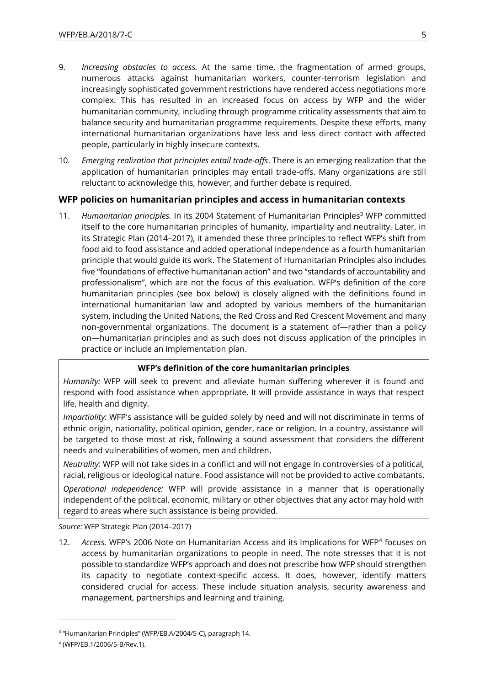- 9. *Increasing obstacles to access.* At the same time, the fragmentation of armed groups, numerous attacks against humanitarian workers, counter-terrorism legislation and increasingly sophisticated government restrictions have rendered access negotiations more complex. This has resulted in an increased focus on access by WFP and the wider humanitarian community, including through programme criticality assessments that aim to balance security and humanitarian programme requirements. Despite these efforts, many international humanitarian organizations have less and less direct contact with affected people, particularly in highly insecure contexts.
- 10. *Emerging realization that principles entail trade-offs*. There is an emerging realization that the application of humanitarian principles may entail trade-offs. Many organizations are still reluctant to acknowledge this, however, and further debate is required.

### **WFP policies on humanitarian principles and access in humanitarian contexts**

11. *Humanitarian principles.* In its 2004 [Statement](http://one.wfp.org/eb/docs/2004/wfp030144~2.pdf) of Humanitarian Principles<sup>3</sup> WFP committed itself to the core humanitarian principles of humanity, impartiality and neutrality. Later, in its [Strategic Plan \(2014](http://documents.wfp.org/stellent/groups/public/documents/eb/wfpdoc062522.pdf)–2017), it amended these three principles to reflect WFP's shift from food aid to food assistance and added operational independence as a fourth humanitarian principle that would guide its work. The Statement of Humanitarian Principles also includes five "foundations of effective humanitarian action" and two "standards of accountability and professionalism", which are not the focus of this evaluation. WFP's definition of the core humanitarian principles (see box below) is closely aligned with the definitions found in [international humanitarian law](https://www.icrc.org/en/war-and-law/treaties-customary-law/geneva-conventions) and adopted by various members of the humanitarian system, including the [United Nations,](https://undocs.org/A/RES/58/114) the Red [Cross and Red Crescent Movement](https://www.loc.gov/rr/frd/Military_Law/pdf/RC_Nov-1965.pdf) and many [non-governmental organizations.](https://www.icrc.org/eng/assets/files/publications/icrc-002-1067.pdf) The document is a statement of—rather than a policy on—humanitarian principles and as such does not discuss application of the principles in practice or include an implementation plan.

#### **WFP's definition of the core humanitarian principles**

*Humanity:* WFP will seek to prevent and alleviate human suffering wherever it is found and respond with food assistance when appropriate. It will provide assistance in ways that respect life, health and dignity.

*Impartiality:* WFP's assistance will be guided solely by need and will not discriminate in terms of ethnic origin, nationality, political opinion, gender, race or religion. In a country, assistance will be targeted to those most at risk, following a sound assessment that considers the different needs and vulnerabilities of women, men and children.

*Neutrality:* WFP will not take sides in a conflict and will not engage in controversies of a political, racial, religious or ideological nature. Food assistance will not be provided to active combatants.

*Operational independence:* WFP will provide assistance in a manner that is operationally independent of the political, economic, military or other objectives that any actor may hold with regard to areas where such assistance is being provided.

*Source:* WFP Strategic Plan (2014–2017)

12. Access. WFP's 2006 Note on Humanitarian Access and its Implications for WFP<sup>4</sup> focuses on access by humanitarian organizations to people in need. The note stresses that it is not possible to standardize WFP's approach and does not prescribe how WFP should strengthen its capacity to negotiate context-specific access. It does, however, identify matters considered crucial for access. These include situation analysis, security awareness and management, partnerships and learning and training.

<sup>&</sup>lt;sup>3</sup> "Humanitarian Principles" (WFP/EB.A/2004/5-C), paragraph 14.

<sup>4</sup> (WFP/EB.1/2006/5-B/Rev.1).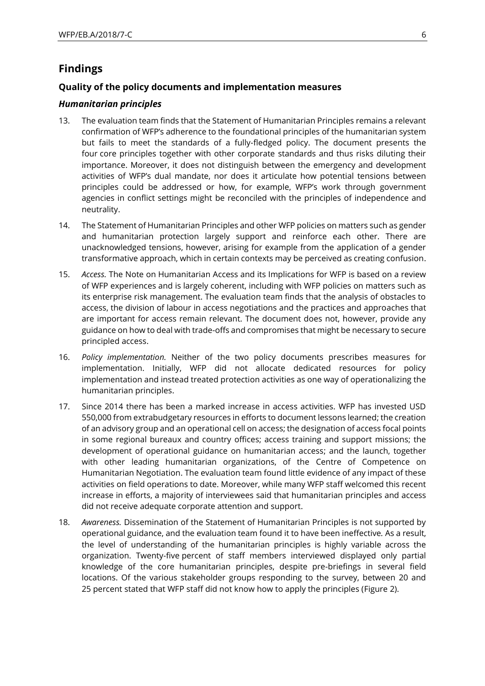## **Findings**

### **Quality of the policy documents and implementation measures**

### *Humanitarian principles*

- 13. The evaluation team finds that the Statement of Humanitarian Principles remains a relevant confirmation of WFP's adherence to the foundational principles of the humanitarian system but fails to meet the standards of a fully-fledged policy. The document presents the four core principles together with other corporate standards and thus risks diluting their importance. Moreover, it does not distinguish between the emergency and development activities of WFP's dual mandate, nor does it articulate how potential tensions between principles could be addressed or how, for example, WFP's work through government agencies in conflict settings might be reconciled with the principles of independence and neutrality.
- 14. The Statement of Humanitarian Principles and other WFP policies on matters such as gender and humanitarian protection largely support and reinforce each other. There are unacknowledged tensions, however, arising for example from the application of a gender transformative approach, which in certain contexts may be perceived as creating confusion.
- 15. *Access.* The Note on Humanitarian Access and its Implications for WFP is based on a review of WFP experiences and is largely coherent, including with WFP policies on matters such as its enterprise risk management. The evaluation team finds that the analysis of obstacles to access, the division of labour in access negotiations and the practices and approaches that are important for access remain relevant. The document does not, however, provide any guidance on how to deal with trade-offs and compromises that might be necessary to secure principled access.
- 16. *Policy implementation.* Neither of the two policy documents prescribes measures for implementation. Initially, WFP did not allocate dedicated resources for policy implementation and instead treated protection activities as one way of operationalizing the humanitarian principles.
- 17. Since 2014 there has been a marked increase in access activities. WFP has invested USD 550,000 from extrabudgetary resources in efforts to document lessons learned; the creation of an advisory group and an operational cell on access; the designation of access focal points in some regional bureaux and country offices; access training and support missions; the development of operational guidance on humanitarian access; and the launch, together with other leading humanitarian organizations, of the [Centre of Competence on](https://frontline-negotiations.org/)  [Humanitarian Negotiation.](https://frontline-negotiations.org/) The evaluation team found little evidence of any impact of these activities on field operations to date. Moreover, while many WFP staff welcomed this recent increase in efforts, a majority of interviewees said that humanitarian principles and access did not receive adequate corporate attention and support.
- 18. *Awareness.* Dissemination of the Statement of Humanitarian Principles is not supported by operational guidance, and the evaluation team found it to have been ineffective*.* As a result, the level of understanding of the humanitarian principles is highly variable across the organization. Twenty-five percent of staff members interviewed displayed only partial knowledge of the core humanitarian principles, despite pre-briefings in several field locations. Of the various stakeholder groups responding to the survey, between 20 and 25 percent stated that WFP staff did not know how to apply the principles [\(Figure 2\)](#page-6-0).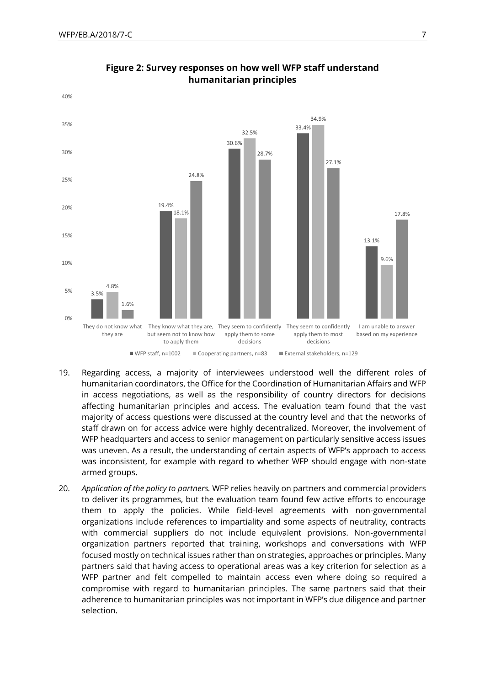<span id="page-6-0"></span>

### **Figure 2: Survey responses on how well WFP staff understand humanitarian principles**

- 19. Regarding access, a majority of interviewees understood well the different roles of humanitarian coordinators, the Office for the Coordination of Humanitarian Affairs and WFP in access negotiations, as well as the responsibility of country directors for decisions affecting humanitarian principles and access. The evaluation team found that the vast majority of access questions were discussed at the country level and that the networks of staff drawn on for access advice were highly decentralized. Moreover, the involvement of WFP headquarters and access to senior management on particularly sensitive access issues was uneven. As a result, the understanding of certain aspects of WFP's approach to access was inconsistent, for example with regard to whether WFP should engage with non-state armed groups.
- 20. *Application of the policy to partners.* WFP relies heavily on partners and commercial providers to deliver its programmes, but the evaluation team found few active efforts to encourage them to apply the policies. While field-level agreements with non-governmental organizations include references to impartiality and some aspects of neutrality, contracts with commercial suppliers do not include equivalent provisions. Non-governmental organization partners reported that training, workshops and conversations with WFP focused mostly on technical issues rather than on strategies, approaches or principles. Many partners said that having access to operational areas was a key criterion for selection as a WFP partner and felt compelled to maintain access even where doing so required a compromise with regard to humanitarian principles. The same partners said that their adherence to humanitarian principles was not important in WFP's due diligence and partner selection.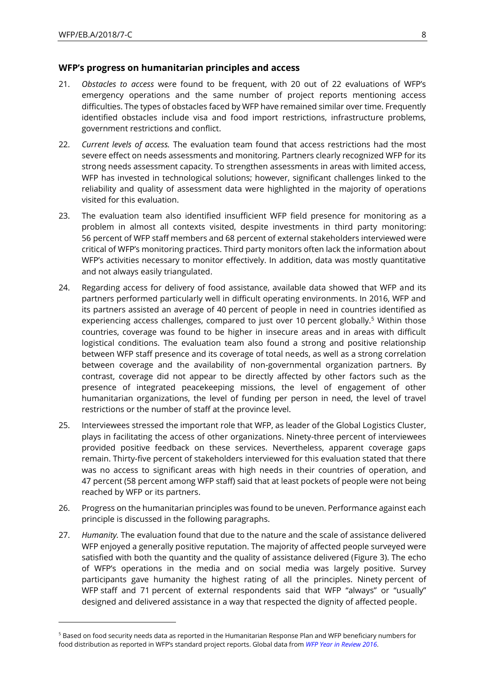-

#### **WFP's progress on humanitarian principles and access**

- 21. *Obstacles to access* were found to be frequent, with 20 out of 22 evaluations of WFP's emergency operations and the same number of project reports mentioning access difficulties. The types of obstacles faced by WFP have remained similar over time. Frequently identified obstacles include visa and food import restrictions, infrastructure problems, government restrictions and conflict.
- 22. *Current levels of access.* The evaluation team found that access restrictions had the most severe effect on needs assessments and monitoring. Partners clearly recognized WFP for its strong needs assessment capacity. To strengthen assessments in areas with limited access, WFP has invested in technological solutions; however, significant challenges linked to the reliability and quality of assessment data were highlighted in the majority of operations visited for this evaluation.
- 23. The evaluation team also identified insufficient WFP field presence for monitoring as a problem in almost all contexts visited, despite investments in third party monitoring: 56 percent of WFP staff members and 68 percent of external stakeholders interviewed were critical of WFP's monitoring practices. Third party monitors often lack the information about WFP's activities necessary to monitor effectively. In addition, data was mostly quantitative and not always easily triangulated.
- 24. Regarding access for delivery of food assistance, available data showed that WFP and its partners performed particularly well in difficult operating environments. In 2016, WFP and its partners assisted an average of 40 percent of people in need in countries identified as experiencing access challenges, compared to just over 10 percent globally.<sup>5</sup> Within those countries, coverage was found to be higher in insecure areas and in areas with difficult logistical conditions. The evaluation team also found a strong and positive relationship between WFP staff presence and its coverage of total needs, as well as a strong correlation between coverage and the availability of non-governmental organization partners. By contrast, coverage did not appear to be directly affected by other factors such as the presence of integrated peacekeeping missions, the level of engagement of other humanitarian organizations, the level of funding per person in need, the level of travel restrictions or the number of staff at the province level.
- 25. Interviewees stressed the important role that WFP, as leader of the Global Logistics Cluster, plays in facilitating the access of other organizations. Ninety-three percent of interviewees provided positive feedback on these services. Nevertheless, apparent coverage gaps remain. Thirty-five percent of stakeholders interviewed for this evaluation stated that there was no access to significant areas with high needs in their countries of operation, and 47 percent (58 percent among WFP staff) said that at least pockets of people were not being reached by WFP or its partners.
- 26. Progress on the humanitarian principles was found to be uneven. Performance against each principle is discussed in the following paragraphs.
- 27. *Humanity.* The evaluation found that due to the nature and the scale of assistance delivered WFP enjoyed a generally positive reputation. The majority of affected people surveyed were satisfied with both the quantity and the quality of assistance delivered [\(Figure 3\)](#page-8-0). The echo of WFP's operations in the media and on social media was largely positive. Survey participants gave humanity the highest rating of all the principles. Ninety percent of WFP staff and 71 percent of external respondents said that WFP "always" or "usually" designed and delivered assistance in a way that respected the dignity of affected people.

<sup>5</sup> Based on food security needs data as reported in the Humanitarian Response Plan and WFP beneficiary numbers for food distribution as reported in WFP's standard project reports. Global data from *[WFP Year in Review 2016](https://www.wfp.org/content/wfp-year-review-2016)*.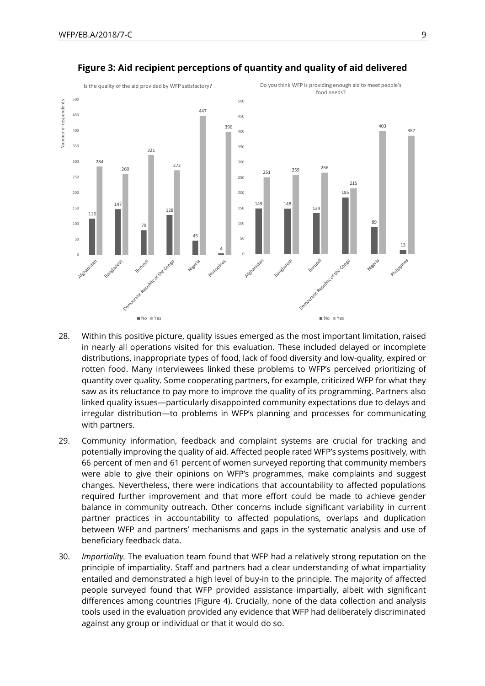<span id="page-8-0"></span>

#### **Figure 3: Aid recipient perceptions of quantity and quality of aid delivered**

- 28. Within this positive picture, quality issues emerged as the most important limitation, raised in nearly all operations visited for this evaluation. These included delayed or incomplete distributions, inappropriate types of food, lack of food diversity and low-quality, expired or rotten food. Many interviewees linked these problems to WFP's perceived prioritizing of quantity over quality. Some cooperating partners, for example, criticized WFP for what they saw as its reluctance to pay more to improve the quality of its programming. Partners also linked quality issues—particularly disappointed community expectations due to delays and irregular distribution—to problems in WFP's planning and processes for communicating with partners.
- 29. Community information, feedback and complaint systems are crucial for tracking and potentially improving the quality of aid. Affected people rated WFP's systems positively, with 66 percent of men and 61 percent of women surveyed reporting that community members were able to give their opinions on WFP's programmes, make complaints and suggest changes. Nevertheless, there were indications that accountability to affected populations required further improvement and that more effort could be made to achieve gender balance in community outreach. Other concerns include significant variability in current partner practices in accountability to affected populations, overlaps and duplication between WFP and partners' mechanisms and gaps in the systematic analysis and use of beneficiary feedback data.
- 30. *Impartiality.* The evaluation team found that WFP had a relatively strong reputation on the principle of impartiality. Staff and partners had a clear understanding of what impartiality entailed and demonstrated a high level of buy-in to the principle. The majority of affected people surveyed found that WFP provided assistance impartially, albeit with significant differences among countries [\(Figure 4\)](#page-9-0). Crucially, none of the data collection and analysis tools used in the evaluation provided any evidence that WFP had deliberately discriminated against any group or individual or that it would do so.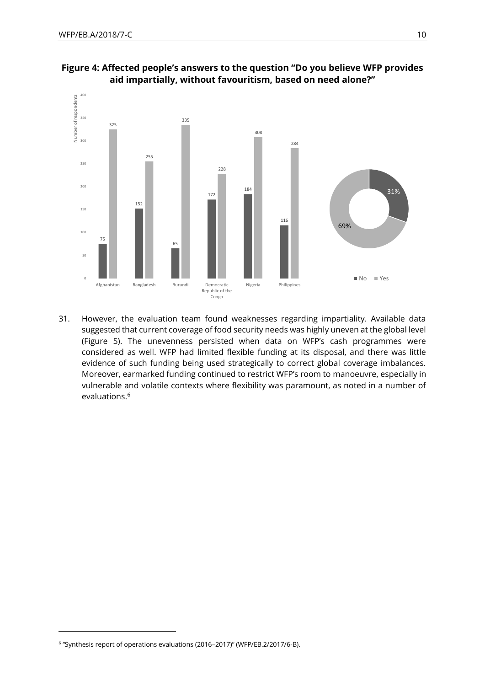

<span id="page-9-0"></span>**Figure 4: Affected people's answers to the question "Do you believe WFP provides aid impartially, without favouritism, based on need alone?"**

31. However, the evaluation team found weaknesses regarding impartiality. Available data suggested that current coverage of food security needs was highly uneven at the global level (Figure 5). The unevenness persisted when data on WFP's cash programmes were considered as well. WFP had limited flexible funding at its disposal, and there was little evidence of such funding being used strategically to correct global coverage imbalances. Moreover, earmarked funding continued to restrict WFP's room to manoeuvre, especially in vulnerable and volatile contexts where flexibility was paramount, as noted in a number of evaluations.<sup>6</sup>

<sup>6</sup> "Synthesis report of operations evaluations (2016–2017)" (WFP/EB.2/2017/6-B).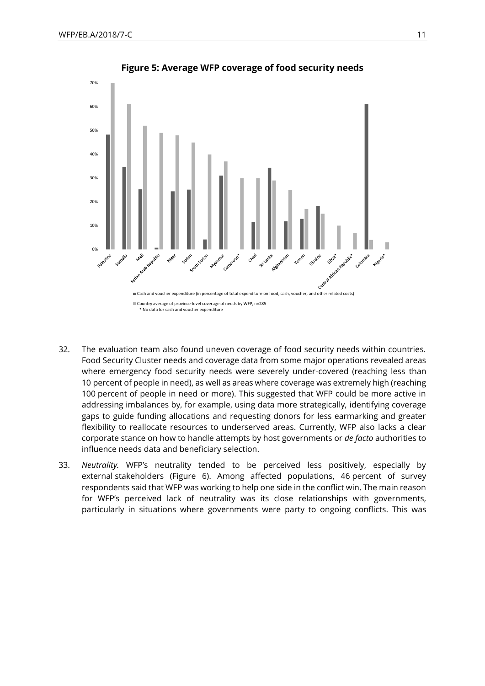

**Figure 5: Average WFP coverage of food security needs**

- 32. The evaluation team also found uneven coverage of food security needs within countries. Food Security Cluster needs and coverage data from some major operations revealed areas where emergency food security needs were severely under-covered (reaching less than 10 percent of people in need), as well as areas where coverage was extremely high (reaching 100 percent of people in need or more). This suggested that WFP could be more active in addressing imbalances by, for example, using data more strategically, identifying coverage gaps to guide funding allocations and requesting donors for less earmarking and greater flexibility to reallocate resources to underserved areas. Currently, WFP also lacks a clear corporate stance on how to handle attempts by host governments or *de facto* authorities to influence needs data and beneficiary selection.
- 33. *Neutrality.* WFP's neutrality tended to be perceived less positively, especially by external stakeholders [\(Figure 6\)](#page-11-0). Among affected populations, 46 percent of survey respondents said that WFP was working to help one side in the conflict win. The main reason for WFP's perceived lack of neutrality was its close relationships with governments, particularly in situations where governments were party to ongoing conflicts. This was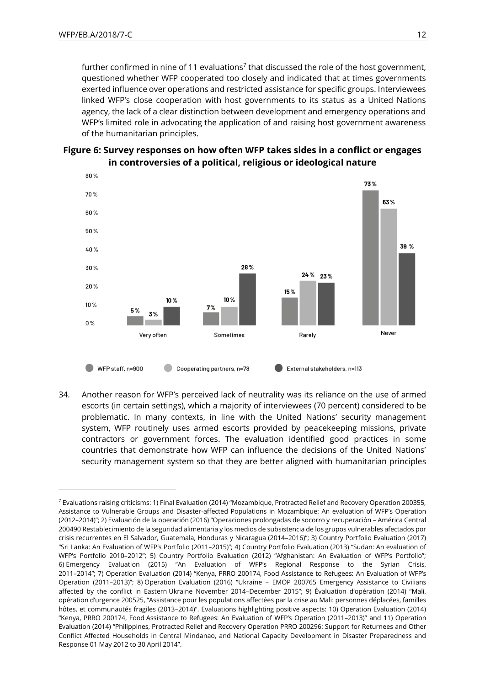1

further confirmed in nine of 11 evaluations<sup>7</sup> that discussed the role of the host government, questioned whether WFP cooperated too closely and indicated that at times governments exerted influence over operations and restricted assistance for specific groups. Interviewees linked WFP's close cooperation with host governments to its status as a United Nations agency, the lack of a clear distinction between development and emergency operations and WFP's limited role in advocating the application of and raising host government awareness of the humanitarian principles.

<span id="page-11-0"></span>



34. Another reason for WFP's perceived lack of neutrality was its reliance on the use of armed escorts (in certain settings), which a majority of interviewees (70 percent) considered to be problematic. In many contexts, in line with the United Nations' security management system, WFP routinely uses armed escorts provided by peacekeeping missions, private contractors or government forces. The evaluation identified good practices in some countries that demonstrate how WFP can influence the decisions of the United Nations' security management system so that they are better aligned with humanitarian principles

<sup>7</sup> Evaluations raising criticisms: 1) Final Evaluation (2014) "Mozambique, Protracted Relief and Recovery Operation 200355, Assistance to Vulnerable Groups and Disaster-affected Populations in Mozambique: An evaluation of WFP's Operation (2012–2014)"; 2) Evaluación de la operación (2016) "Operaciones prolongadas de socorro y recuperación – América Central 200490 Restablecimiento de la seguridad alimentaria y los medios de subsistencia de los grupos vulnerables afectados por crisis recurrentes en El Salvador, Guatemala, Honduras y Nicaragua (2014–2016)"; 3) Country Portfolio Evaluation (2017) "Sri Lanka: An Evaluation of WFP's Portfolio (2011–2015)"; 4) Country Portfolio Evaluation (2013) "Sudan: An evaluation of WFP's Portfolio 2010–2012"; 5) Country Portfolio Evaluation (2012) "Afghanistan: An Evaluation of WFP's Portfolio"; 6) Emergency Evaluation (2015) "An Evaluation of WFP's Regional Response to the Syrian Crisis, 2011–2014"; 7) Operation Evaluation (2014) "Kenya, PRRO 200174, Food Assistance to Refugees: An Evaluation of WFP's Operation (2011–2013)"; 8) Operation Evaluation (2016) "Ukraine – EMOP 200765 Emergency Assistance to Civilians affected by the conflict in Eastern Ukraine November 2014–December 2015"; 9) Évaluation d'opération (2014) "Mali, opération d'urgence 200525, "Assistance pour les populations affectées par la crise au Mali: personnes déplacées, familles hôtes, et communautés fragiles (2013–2014)". Evaluations highlighting positive aspects: 10) Operation Evaluation (2014) "Kenya, PRRO 200174, Food Assistance to Refugees: An Evaluation of WFP's Operation (2011–2013)" and 11) Operation Evaluation (2014) "Philippines, Protracted Relief and Recovery Operation PRRO 200296: Support for Returnees and Other Conflict Affected Households in Central Mindanao, and National Capacity Development in Disaster Preparedness and Response 01 May 2012 to 30 April 2014".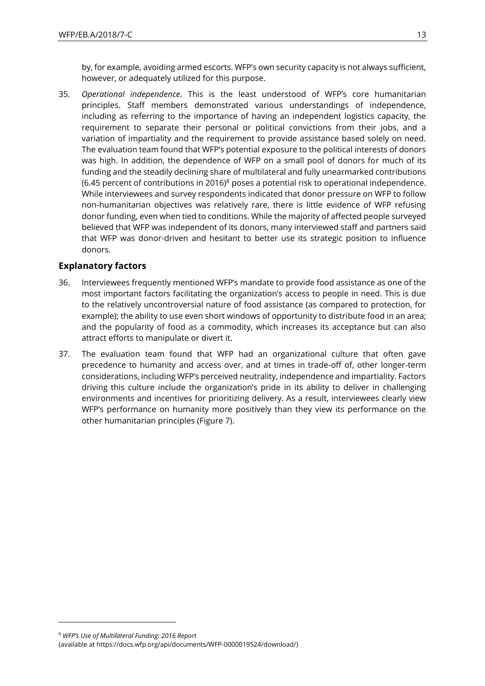by, for example, avoiding armed escorts. WFP's own security capacity is not always sufficient, however, or adequately utilized for this purpose.

35. *Operational independence.* This is the least understood of WFP's core humanitarian principles. Staff members demonstrated various understandings of independence, including as referring to the importance of having an independent logistics capacity, the requirement to separate their personal or political convictions from their jobs, and a variation of impartiality and the requirement to provide assistance based solely on need. The evaluation team found that WFP's potential exposure to the political interests of donors was high. In addition, the dependence of WFP on a small pool of donors for much of its funding and the steadily declining share of multilateral and fully unearmarked contributions (6.45 percent of contributions in 2016)<sup>8</sup> poses a potential risk to operational independence. While interviewees and survey respondents indicated that donor pressure on WFP to follow non-humanitarian objectives was relatively rare, there is little evidence of WFP refusing donor funding, even when tied to conditions. While the majority of affected people surveyed believed that WFP was independent of its donors, many interviewed staff and partners said that WFP was donor-driven and hesitant to better use its strategic position to influence donors.

### **Explanatory factors**

- 36. Interviewees frequently mentioned WFP's mandate to provide food assistance as one of the most important factors facilitating the organization's access to people in need. This is due to the relatively uncontroversial nature of food assistance (as compared to protection, for example); the ability to use even short windows of opportunity to distribute food in an area; and the popularity of food as a commodity, which increases its acceptance but can also attract efforts to manipulate or divert it.
- 37. The evaluation team found that WFP had an organizational culture that often gave precedence to humanity and access over, and at times in trade-off of, other longer-term considerations, including WFP's perceived neutrality, independence and impartiality. Factors driving this culture include the organization's pride in its ability to deliver in challenging environments and incentives for prioritizing delivery. As a result, interviewees clearly view WFP's performance on humanity more positively than they view its performance on the other humanitarian principles [\(Figure 7\)](#page-13-0).

<sup>8</sup> *[WFP's Use of Multilateral Funding: 2016 Report](https://docs.wfp.org/api/documents/WFP-0000019524/download/)*

<sup>(</sup>available at https://docs.wfp.org/api/documents/WFP-0000019524/download/)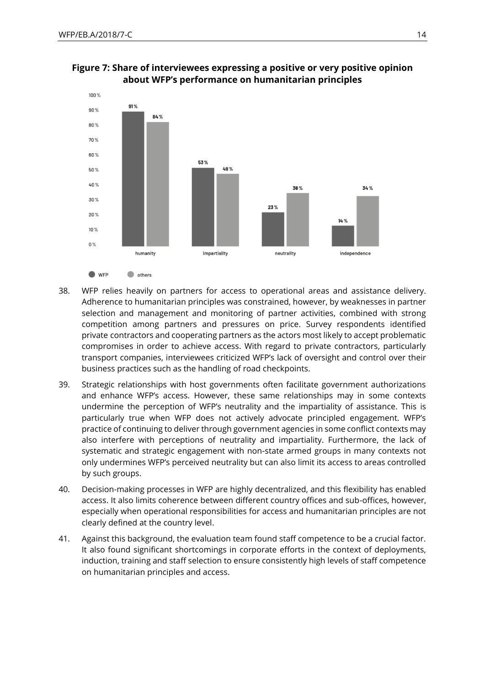

### <span id="page-13-0"></span>**Figure 7: Share of interviewees expressing a positive or very positive opinion about WFP's performance on humanitarian principles**

- 38. WFP relies heavily on partners for access to operational areas and assistance delivery. Adherence to humanitarian principles was constrained, however, by weaknesses in partner selection and management and monitoring of partner activities, combined with strong competition among partners and pressures on price. Survey respondents identified private contractors and cooperating partners as the actors most likely to accept problematic compromises in order to achieve access. With regard to private contractors, particularly transport companies, interviewees criticized WFP's lack of oversight and control over their business practices such as the handling of road checkpoints.
- 39. Strategic relationships with host governments often facilitate government authorizations and enhance WFP's access. However, these same relationships may in some contexts undermine the perception of WFP's neutrality and the impartiality of assistance. This is particularly true when WFP does not actively advocate principled engagement. WFP's practice of continuing to deliver through government agencies in some conflict contexts may also interfere with perceptions of neutrality and impartiality. Furthermore, the lack of systematic and strategic engagement with non-state armed groups in many contexts not only undermines WFP's perceived neutrality but can also limit its access to areas controlled by such groups.
- 40. Decision-making processes in WFP are highly decentralized, and this flexibility has enabled access. It also limits coherence between different country offices and sub-offices, however, especially when operational responsibilities for access and humanitarian principles are not clearly defined at the country level.
- 41. Against this background, the evaluation team found staff competence to be a crucial factor. It also found significant shortcomings in corporate efforts in the context of deployments, induction, training and staff selection to ensure consistently high levels of staff competence on humanitarian principles and access.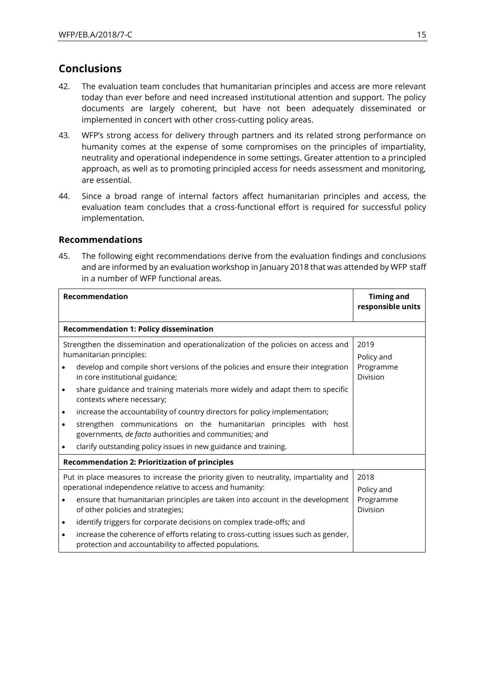## **Conclusions**

- 42. The evaluation team concludes that humanitarian principles and access are more relevant today than ever before and need increased institutional attention and support. The policy documents are largely coherent, but have not been adequately disseminated or implemented in concert with other cross-cutting policy areas.
- 43. WFP's strong access for delivery through partners and its related strong performance on humanity comes at the expense of some compromises on the principles of impartiality, neutrality and operational independence in some settings. Greater attention to a principled approach, as well as to promoting principled access for needs assessment and monitoring, are essential.
- 44. Since a broad range of internal factors affect humanitarian principles and access, the evaluation team concludes that a cross-functional effort is required for successful policy implementation.

### **Recommendations**

45. The following eight recommendations derive from the evaluation findings and conclusions and are informed by an evaluation workshop in January 2018 that was attended by WFP staff in a number of WFP functional areas.

|                                                                                                                                                   | Recommendation                                                                                                                               | <b>Timing and</b><br>responsible units |  |  |  |
|---------------------------------------------------------------------------------------------------------------------------------------------------|----------------------------------------------------------------------------------------------------------------------------------------------|----------------------------------------|--|--|--|
| <b>Recommendation 1: Policy dissemination</b>                                                                                                     |                                                                                                                                              |                                        |  |  |  |
|                                                                                                                                                   | Strengthen the dissemination and operationalization of the policies on access and<br>humanitarian principles:                                | 2019<br>Policy and                     |  |  |  |
|                                                                                                                                                   | develop and compile short versions of the policies and ensure their integration<br>in core institutional guidance;                           | Programme<br>Division                  |  |  |  |
|                                                                                                                                                   | share guidance and training materials more widely and adapt them to specific<br>contexts where necessary;                                    |                                        |  |  |  |
| $\bullet$                                                                                                                                         | increase the accountability of country directors for policy implementation;                                                                  |                                        |  |  |  |
| $\bullet$                                                                                                                                         | strengthen communications on the humanitarian principles with host<br>governments, de facto authorities and communities; and                 |                                        |  |  |  |
|                                                                                                                                                   | clarify outstanding policy issues in new guidance and training.                                                                              |                                        |  |  |  |
| <b>Recommendation 2: Prioritization of principles</b>                                                                                             |                                                                                                                                              |                                        |  |  |  |
| Put in place measures to increase the priority given to neutrality, impartiality and<br>operational independence relative to access and humanity: |                                                                                                                                              | 2018<br>Policy and                     |  |  |  |
|                                                                                                                                                   | ensure that humanitarian principles are taken into account in the development<br>of other policies and strategies;                           | Programme<br>Division                  |  |  |  |
| $\bullet$                                                                                                                                         | identify triggers for corporate decisions on complex trade-offs; and                                                                         |                                        |  |  |  |
| $\bullet$                                                                                                                                         | increase the coherence of efforts relating to cross-cutting issues such as gender,<br>protection and accountability to affected populations. |                                        |  |  |  |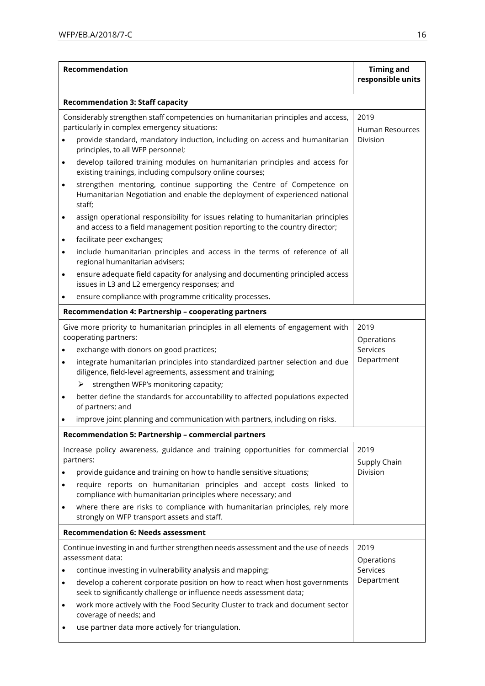| Recommendation                                                     |                                                                                                                                                                                                                                                                                                                                                                                                                                                                                                                                                                                                                                                                                                                                                                                                                                                                                                                                                                          | <b>Timing and</b><br>responsible units       |  |  |
|--------------------------------------------------------------------|--------------------------------------------------------------------------------------------------------------------------------------------------------------------------------------------------------------------------------------------------------------------------------------------------------------------------------------------------------------------------------------------------------------------------------------------------------------------------------------------------------------------------------------------------------------------------------------------------------------------------------------------------------------------------------------------------------------------------------------------------------------------------------------------------------------------------------------------------------------------------------------------------------------------------------------------------------------------------|----------------------------------------------|--|--|
|                                                                    | <b>Recommendation 3: Staff capacity</b>                                                                                                                                                                                                                                                                                                                                                                                                                                                                                                                                                                                                                                                                                                                                                                                                                                                                                                                                  |                                              |  |  |
| $\bullet$<br>$\bullet$<br>$\bullet$<br>$\bullet$<br>$\bullet$<br>٠ | Considerably strengthen staff competencies on humanitarian principles and access,<br>particularly in complex emergency situations:<br>provide standard, mandatory induction, including on access and humanitarian<br>principles, to all WFP personnel;<br>develop tailored training modules on humanitarian principles and access for<br>existing trainings, including compulsory online courses;<br>strengthen mentoring, continue supporting the Centre of Competence on<br>Humanitarian Negotiation and enable the deployment of experienced national<br>staff;<br>assign operational responsibility for issues relating to humanitarian principles<br>and access to a field management position reporting to the country director;<br>facilitate peer exchanges;<br>include humanitarian principles and access in the terms of reference of all<br>regional humanitarian advisers;<br>ensure adequate field capacity for analysing and documenting principled access | 2019<br>Human Resources<br>Division          |  |  |
|                                                                    | issues in L3 and L2 emergency responses; and<br>ensure compliance with programme criticality processes.                                                                                                                                                                                                                                                                                                                                                                                                                                                                                                                                                                                                                                                                                                                                                                                                                                                                  |                                              |  |  |
|                                                                    | Recommendation 4: Partnership - cooperating partners                                                                                                                                                                                                                                                                                                                                                                                                                                                                                                                                                                                                                                                                                                                                                                                                                                                                                                                     |                                              |  |  |
|                                                                    | Give more priority to humanitarian principles in all elements of engagement with<br>cooperating partners:<br>exchange with donors on good practices;<br>integrate humanitarian principles into standardized partner selection and due<br>diligence, field-level agreements, assessment and training;<br>strengthen WFP's monitoring capacity;<br>➤<br>better define the standards for accountability to affected populations expected                                                                                                                                                                                                                                                                                                                                                                                                                                                                                                                                    | 2019<br>Operations<br>Services<br>Department |  |  |
|                                                                    | of partners; and                                                                                                                                                                                                                                                                                                                                                                                                                                                                                                                                                                                                                                                                                                                                                                                                                                                                                                                                                         |                                              |  |  |
|                                                                    | improve joint planning and communication with partners, including on risks.                                                                                                                                                                                                                                                                                                                                                                                                                                                                                                                                                                                                                                                                                                                                                                                                                                                                                              |                                              |  |  |
| $\bullet$                                                          | Recommendation 5: Partnership - commercial partners<br>Increase policy awareness, guidance and training opportunities for commercial<br>partners:<br>provide guidance and training on how to handle sensitive situations;<br>require reports on humanitarian principles and accept costs linked to<br>compliance with humanitarian principles where necessary; and<br>where there are risks to compliance with humanitarian principles, rely more<br>strongly on WFP transport assets and staff.                                                                                                                                                                                                                                                                                                                                                                                                                                                                         | 2019<br>Supply Chain<br>Division             |  |  |
| <b>Recommendation 6: Needs assessment</b>                          |                                                                                                                                                                                                                                                                                                                                                                                                                                                                                                                                                                                                                                                                                                                                                                                                                                                                                                                                                                          |                                              |  |  |
| $\bullet$<br>$\bullet$<br>٠                                        | Continue investing in and further strengthen needs assessment and the use of needs<br>assessment data:<br>continue investing in vulnerability analysis and mapping;<br>develop a coherent corporate position on how to react when host governments<br>seek to significantly challenge or influence needs assessment data;<br>work more actively with the Food Security Cluster to track and document sector<br>coverage of needs; and<br>use partner data more actively for triangulation.                                                                                                                                                                                                                                                                                                                                                                                                                                                                               | 2019<br>Operations<br>Services<br>Department |  |  |